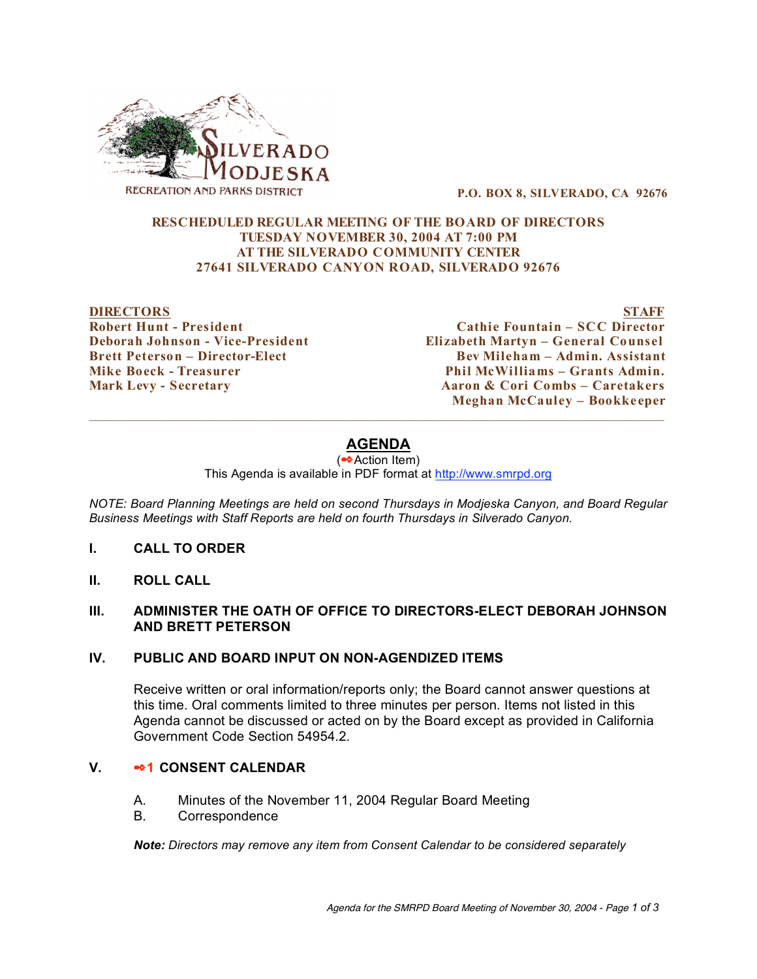

**P.O. BOX 8, SILVERADO, CA 92676**

#### **RESCHEDULED REGULAR MEETING OF THE BOARD OF DIRECTORS TUESDAY NOVEMBER 30, 2004 AT 7:00 PM AT THE SILVERADO COMMUNITY CENTER 27641 SILVERADO CANYON ROAD, SILVERADO 92676**

**DIRECTORS STAFF**

**Robert Hunt - President Cathie Fountain – SCC Director Deborah Johnson - Vice-President Elizabeth Martyn – General Counsel Brett Peterson – Director-Elect Bev Mileham – Admin. Assistant Mike Boeck - Treasurer Phil McWilliams – Grants Admin. Mark Levy - Secretary Aaron & Cori Combs – Caretakers Meghan McCauley – Bookke eper**

# **AGENDA**

(✒Action Item)

This Agenda is available in PDF format at http://www.smrpd.org

*NOTE: Board Planning Meetings are held on second Thursdays in Modjeska Canyon, and Board Regular Business Meetings with Staff Reports are held on fourth Thursdays in Silverado Canyon.*

- **I. CALL TO ORDER**
- **II. ROLL CALL**

#### **III. ADMINISTER THE OATH OF OFFICE TO DIRECTORS-ELECT DEBORAH JOHNSON AND BRETT PETERSON**

#### **IV. PUBLIC AND BOARD INPUT ON NON-AGENDIZED ITEMS**

Receive written or oral information/reports only; the Board cannot answer questions at this time. Oral comments limited to three minutes per person. Items not listed in this Agenda cannot be discussed or acted on by the Board except as provided in California Government Code Section 54954.2.

#### **V.** ✒**1 CONSENT CALENDAR**

- A. Minutes of the November 11, 2004 Regular Board Meeting
- B. Correspondence

*Note: Directors may remove any item from Consent Calendar to be considered separately*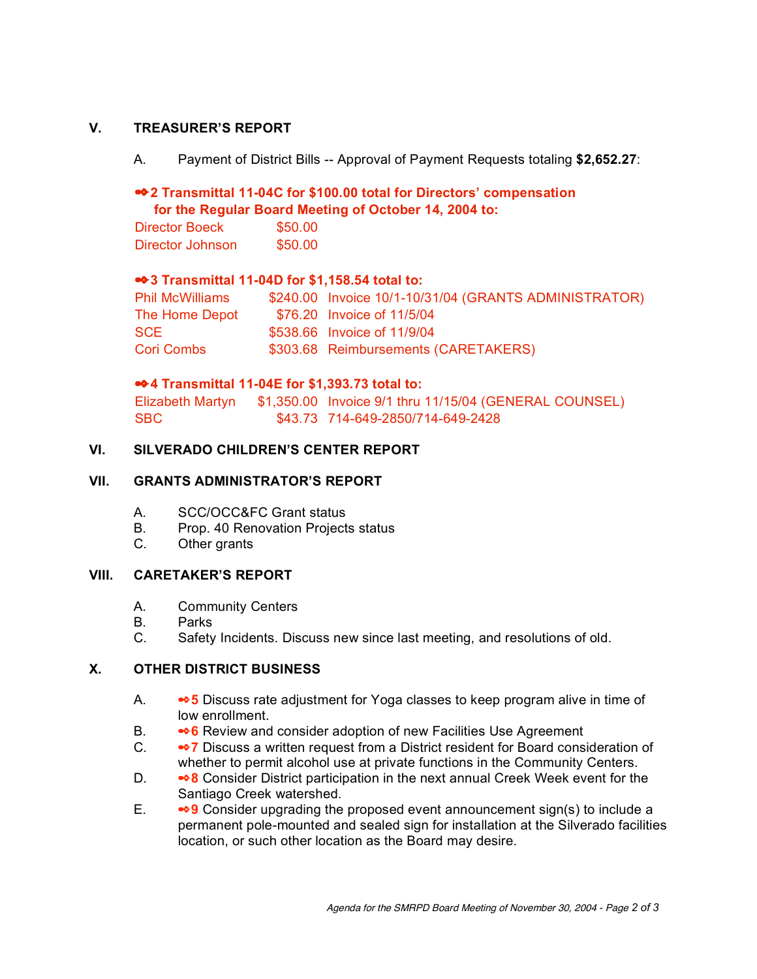## **V. TREASURER'S REPORT**

A. Payment of District Bills -- Approval of Payment Requests totaling **\$2,652.27**:

## ✒**2 Transmittal 11-04C for \$100.00 total for Directors' compensation for the Regular Board Meeting of October 14, 2004 to:**

Director Boeck \$50.00 Director Johnson \$50.00

## ✒**3 Transmittal 11-04D for \$1,158.54 total to:**

| Phil McWilliams | \$240.00 Invoice 10/1-10/31/04 (GRANTS ADMINISTRATOR) |
|-----------------|-------------------------------------------------------|
| The Home Depot  | \$76.20 Invoice of 11/5/04                            |
| SCE             | \$538.66 Invoice of 11/9/04                           |
| Cori Combs      | \$303.68 Reimbursements (CARETAKERS)                  |

## ✒**4 Transmittal 11-04E for \$1,393.73 total to:**

Elizabeth Martyn \$1,350.00 Invoice 9/1 thru 11/15/04 (GENERAL COUNSEL) SBC \$43.73 714-649-2850/714-649-2428

#### **VI. SILVERADO CHILDREN'S CENTER REPORT**

#### **VII. GRANTS ADMINISTRATOR'S REPORT**

- A. SCC/OCC&FC Grant status
- B. Prop. 40 Renovation Projects status
- C. Other grants

## **VIII. CARETAKER'S REPORT**

- A. Community Centers
- B. Parks
- C. Safety Incidents. Discuss new since last meeting, and resolutions of old.

## **X. OTHER DISTRICT BUSINESS**

- A. ✒**5** Discuss rate adjustment for Yoga classes to keep program alive in time of low enrollment.
- B. **<sup>↓●</sup>6** Review and consider adoption of new Facilities Use Agreement
- C. ✒**7** Discuss a written request from a District resident for Board consideration of whether to permit alcohol use at private functions in the Community Centers.
- D. ✒**8** Consider District participation in the next annual Creek Week event for the Santiago Creek watershed.
- E. ✒**9** Consider upgrading the proposed event announcement sign(s) to include a permanent pole-mounted and sealed sign for installation at the Silverado facilities location, or such other location as the Board may desire.